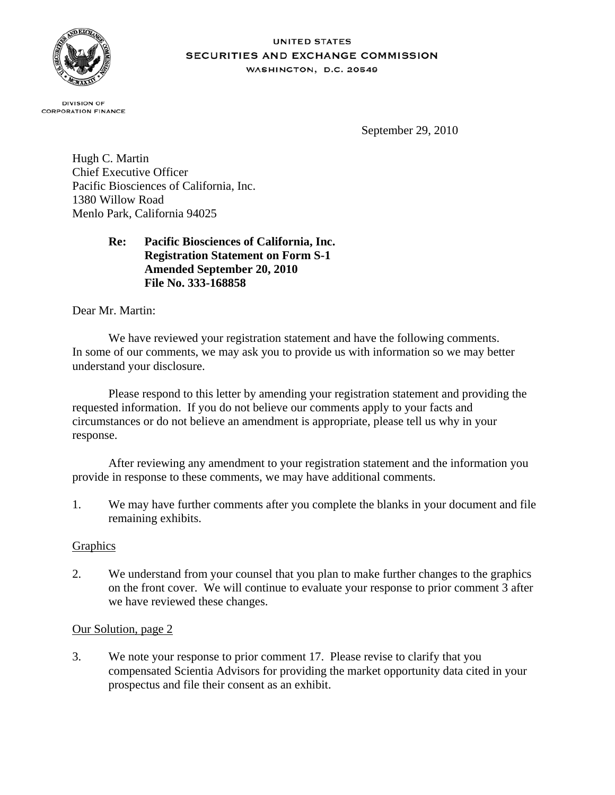

#### **UNITED STATES SECURITIES AND EXCHANGE COMMISSION** WASHINGTON, D.C. 20549

**DIVISION OF CORPORATION FINANCE** 

September 29, 2010

Hugh C. Martin Chief Executive Officer Pacific Biosciences of California, Inc. 1380 Willow Road Menlo Park, California 94025

# **Re: Pacific Biosciences of California, Inc. Registration Statement on Form S-1 Amended September 20, 2010 File No. 333-168858**

Dear Mr. Martin:

We have reviewed your registration statement and have the following comments. In some of our comments, we may ask you to provide us with information so we may better understand your disclosure.

Please respond to this letter by amending your registration statement and providing the requested information. If you do not believe our comments apply to your facts and circumstances or do not believe an amendment is appropriate, please tell us why in your response.

After reviewing any amendment to your registration statement and the information you provide in response to these comments, we may have additional comments.

1. We may have further comments after you complete the blanks in your document and file remaining exhibits.

### **Graphics**

2. We understand from your counsel that you plan to make further changes to the graphics on the front cover. We will continue to evaluate your response to prior comment 3 after we have reviewed these changes.

### Our Solution, page 2

3. We note your response to prior comment 17. Please revise to clarify that you compensated Scientia Advisors for providing the market opportunity data cited in your prospectus and file their consent as an exhibit.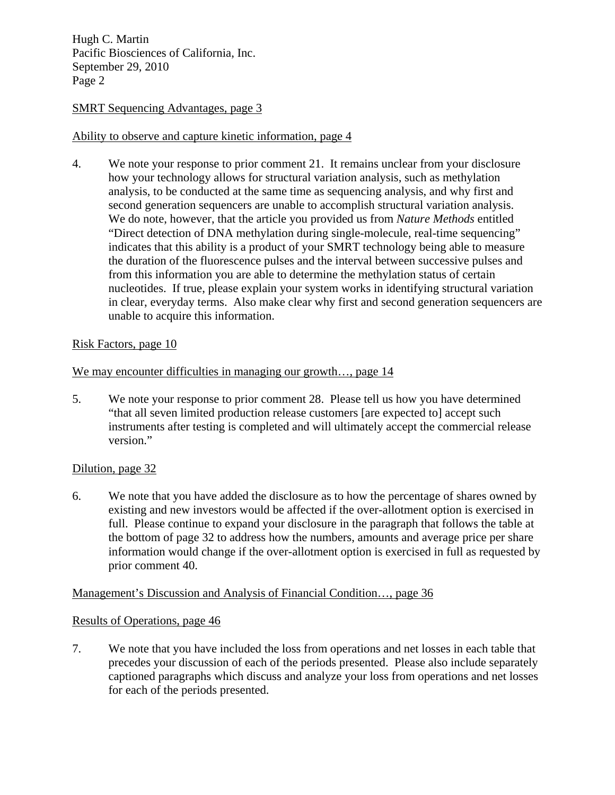Hugh C. Martin Pacific Biosciences of California, Inc. September 29, 2010 Page 2

## SMRT Sequencing Advantages, page 3

## Ability to observe and capture kinetic information, page 4

4. We note your response to prior comment 21. It remains unclear from your disclosure how your technology allows for structural variation analysis, such as methylation analysis, to be conducted at the same time as sequencing analysis, and why first and second generation sequencers are unable to accomplish structural variation analysis. We do note, however, that the article you provided us from *Nature Methods* entitled "Direct detection of DNA methylation during single-molecule, real-time sequencing" indicates that this ability is a product of your SMRT technology being able to measure the duration of the fluorescence pulses and the interval between successive pulses and from this information you are able to determine the methylation status of certain nucleotides. If true, please explain your system works in identifying structural variation in clear, everyday terms. Also make clear why first and second generation sequencers are unable to acquire this information.

### Risk Factors, page 10

### We may encounter difficulties in managing our growth..., page 14

5. We note your response to prior comment 28. Please tell us how you have determined "that all seven limited production release customers [are expected to] accept such instruments after testing is completed and will ultimately accept the commercial release version."

### Dilution, page 32

6. We note that you have added the disclosure as to how the percentage of shares owned by existing and new investors would be affected if the over-allotment option is exercised in full. Please continue to expand your disclosure in the paragraph that follows the table at the bottom of page 32 to address how the numbers, amounts and average price per share information would change if the over-allotment option is exercised in full as requested by prior comment 40.

### Management's Discussion and Analysis of Financial Condition…, page 36

### Results of Operations, page 46

7. We note that you have included the loss from operations and net losses in each table that precedes your discussion of each of the periods presented. Please also include separately captioned paragraphs which discuss and analyze your loss from operations and net losses for each of the periods presented.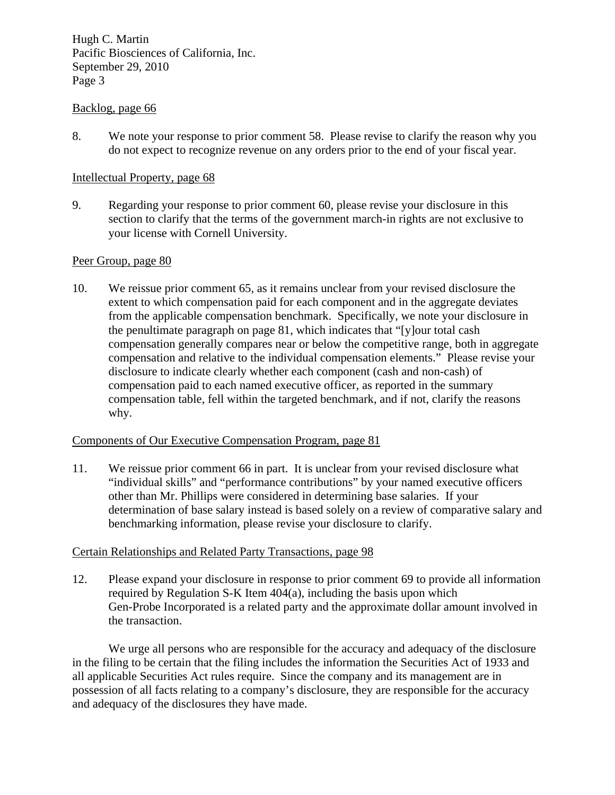Hugh C. Martin Pacific Biosciences of California, Inc. September 29, 2010 Page 3

### Backlog, page 66

8. We note your response to prior comment 58. Please revise to clarify the reason why you do not expect to recognize revenue on any orders prior to the end of your fiscal year.

#### Intellectual Property, page 68

9. Regarding your response to prior comment 60, please revise your disclosure in this section to clarify that the terms of the government march-in rights are not exclusive to your license with Cornell University.

#### Peer Group, page 80

10. We reissue prior comment 65, as it remains unclear from your revised disclosure the extent to which compensation paid for each component and in the aggregate deviates from the applicable compensation benchmark. Specifically, we note your disclosure in the penultimate paragraph on page 81, which indicates that "[y]our total cash compensation generally compares near or below the competitive range, both in aggregate compensation and relative to the individual compensation elements." Please revise your disclosure to indicate clearly whether each component (cash and non-cash) of compensation paid to each named executive officer, as reported in the summary compensation table, fell within the targeted benchmark, and if not, clarify the reasons why.

#### Components of Our Executive Compensation Program, page 81

11. We reissue prior comment 66 in part. It is unclear from your revised disclosure what "individual skills" and "performance contributions" by your named executive officers other than Mr. Phillips were considered in determining base salaries. If your determination of base salary instead is based solely on a review of comparative salary and benchmarking information, please revise your disclosure to clarify.

### Certain Relationships and Related Party Transactions, page 98

12. Please expand your disclosure in response to prior comment 69 to provide all information required by Regulation S-K Item 404(a), including the basis upon which Gen-Probe Incorporated is a related party and the approximate dollar amount involved in the transaction.

We urge all persons who are responsible for the accuracy and adequacy of the disclosure in the filing to be certain that the filing includes the information the Securities Act of 1933 and all applicable Securities Act rules require. Since the company and its management are in possession of all facts relating to a company's disclosure, they are responsible for the accuracy and adequacy of the disclosures they have made.